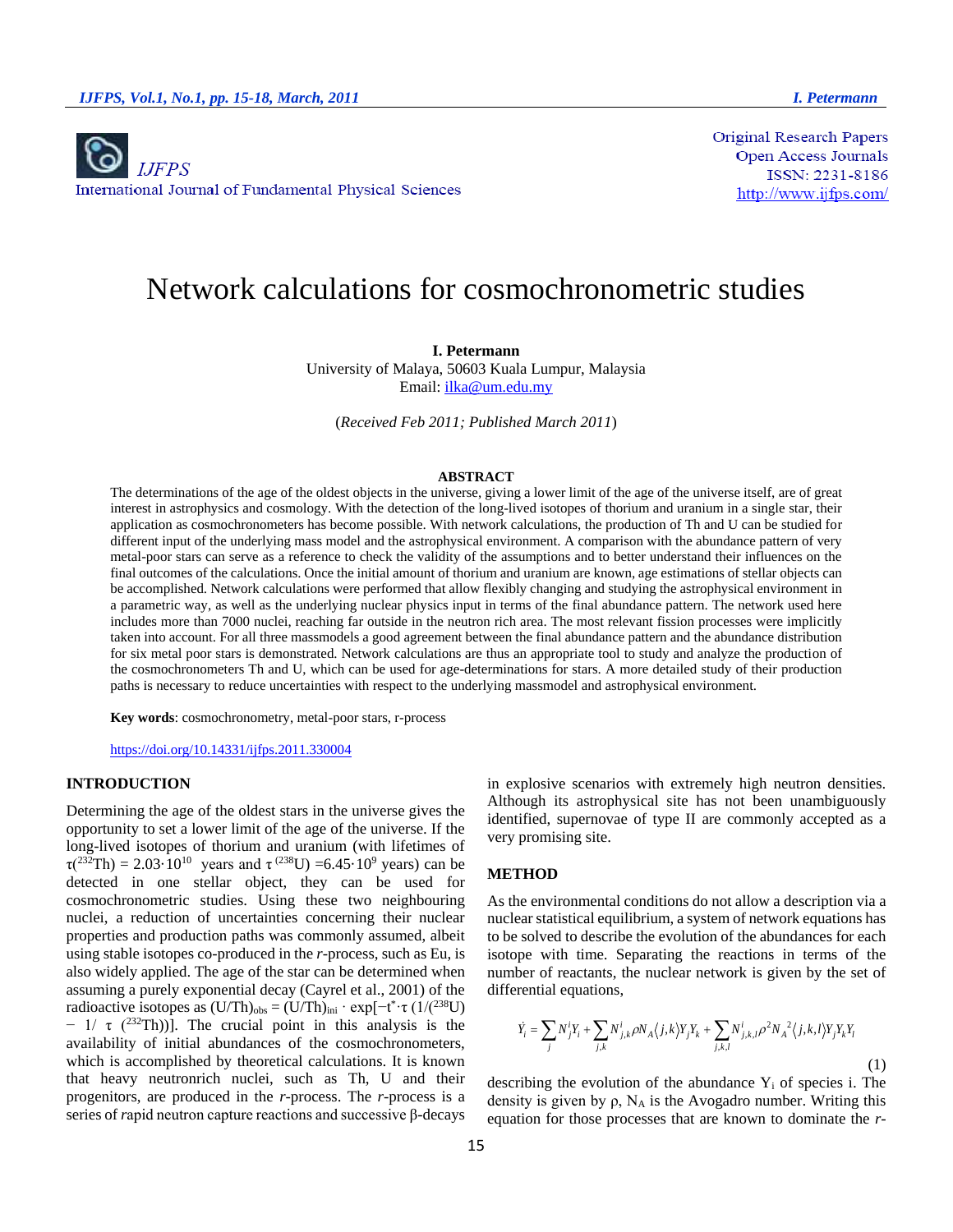

**Original Research Papers Open Access Journals** ISSN: 2231-8186 http://www.ijfps.com/

# Network calculations for cosmochronometric studies

## **I. Petermann**

University of Malaya, 50603 Kuala Lumpur, Malaysia Email: [ilka@um.edu.my](mailto:ilka@um.edu.my)

(*Received Feb 2011; Published March 2011*)

## **ABSTRACT**

The determinations of the age of the oldest objects in the universe, giving a lower limit of the age of the universe itself, are of great interest in astrophysics and cosmology. With the detection of the long-lived isotopes of thorium and uranium in a single star, their application as cosmochronometers has become possible. With network calculations, the production of Th and U can be studied for different input of the underlying mass model and the astrophysical environment. A comparison with the abundance pattern of very metal-poor stars can serve as a reference to check the validity of the assumptions and to better understand their influences on the final outcomes of the calculations. Once the initial amount of thorium and uranium are known, age estimations of stellar objects can be accomplished. Network calculations were performed that allow flexibly changing and studying the astrophysical environment in a parametric way, as well as the underlying nuclear physics input in terms of the final abundance pattern. The network used here includes more than 7000 nuclei, reaching far outside in the neutron rich area. The most relevant fission processes were implicitly taken into account. For all three massmodels a good agreement between the final abundance pattern and the abundance distribution for six metal poor stars is demonstrated. Network calculations are thus an appropriate tool to study and analyze the production of the cosmochronometers Th and U, which can be used for age-determinations for stars. A more detailed study of their production paths is necessary to reduce uncertainties with respect to the underlying massmodel and astrophysical environment.

**Key words**: cosmochronometry, metal-poor stars, r-process

<https://doi.org/10.14331/ijfps.2011.330004>

# **INTRODUCTION**

Determining the age of the oldest stars in the universe gives the opportunity to set a lower limit of the age of the universe. If the long-lived isotopes of thorium and uranium (with lifetimes of  $\tau(^{232}Th) = 2.03 \cdot 10^{10}$  years and  $\tau^{(238}U) = 6.45 \cdot 10^9$  years) can be detected in one stellar object, they can be used for cosmochronometric studies. Using these two neighbouring nuclei, a reduction of uncertainties concerning their nuclear properties and production paths was commonly assumed, albeit using stable isotopes co-produced in the *r*-process, such as Eu, is also widely applied. The age of the star can be determined when assuming a purely exponential decay (Cayrel et al., 2001) of the radioactive isotopes as  $(U/Th)_{obs} = (U/Th)_{ini} \cdot \exp[-t^* \cdot \tau (1/(2^{38}U))]$  $-$  1/  $\tau$  (<sup>232</sup>Th))]. The crucial point in this analysis is the availability of initial abundances of the cosmochronometers, which is accomplished by theoretical calculations. It is known that heavy neutronrich nuclei, such as Th, U and their progenitors, are produced in the *r*-process. The *r*-process is a series of *r*apid neutron capture reactions and successive β-decays

in explosive scenarios with extremely high neutron densities. Although its astrophysical site has not been unambiguously identified, supernovae of type II are commonly accepted as a very promising site.

#### **METHOD**

As the environmental conditions do not allow a description via a nuclear statistical equilibrium, a system of network equations has to be solved to describe the evolution of the abundances for each isotope with time. Separating the reactions in terms of the number of reactants, the nuclear network is given by the set of differential equations,

$$
\dot{Y}_i = \sum_j N_j^i Y_i + \sum_{j,k} N_{j,k}^i \rho N_A \langle j,k \rangle Y_j Y_k + \sum_{j,k,l} N_{j,k,l}^i \rho^2 N_A{}^2 \langle j,k,l \rangle Y_j Y_k Y_l
$$
\n(1)

describing the evolution of the abundance  $Y_i$  of species i. The density is given by  $\rho$ , N<sub>A</sub> is the Avogadro number. Writing this equation for those processes that are known to dominate the *r*-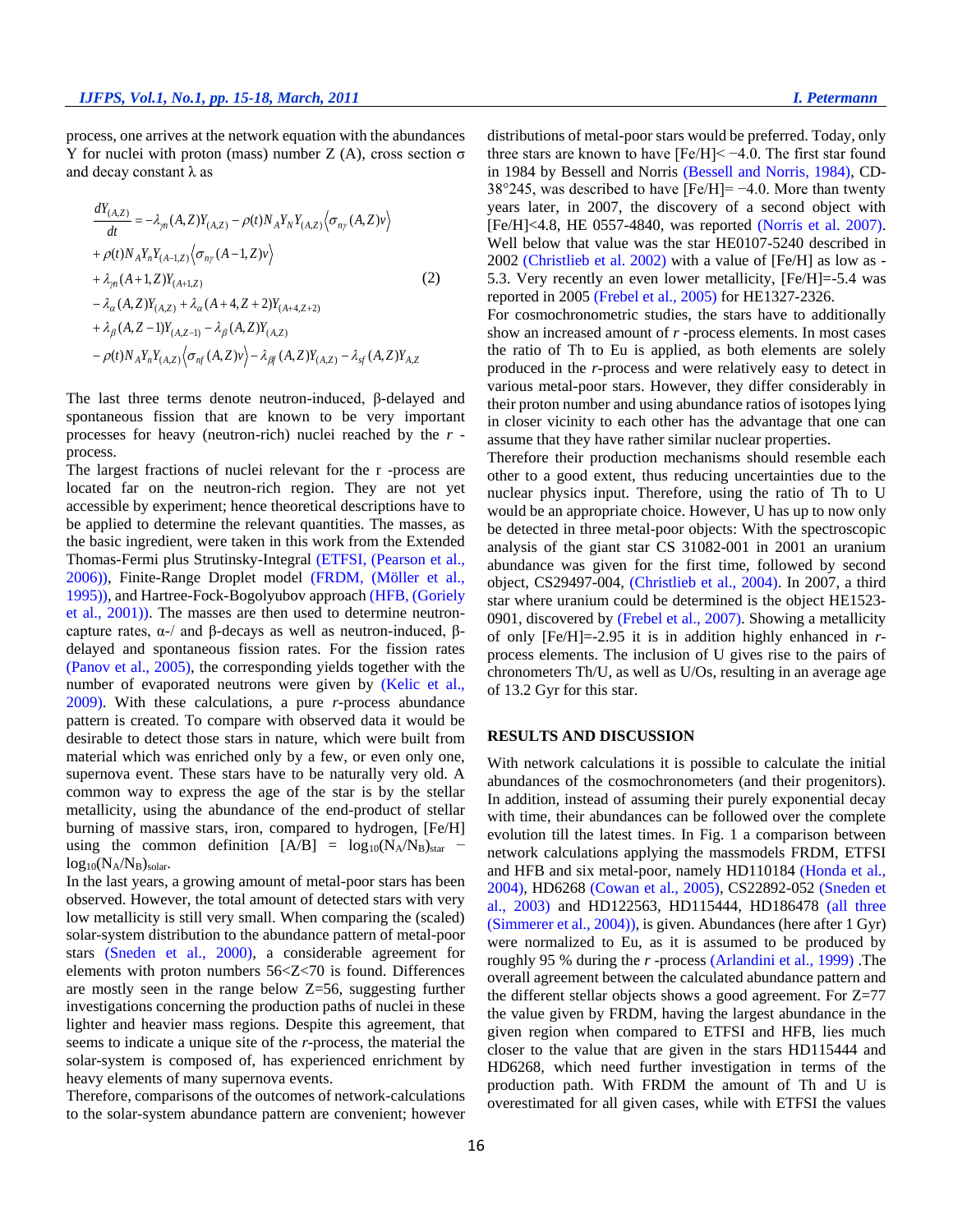process, one arrives at the network equation with the abundances Y for nuclei with proton (mass) number Z (A), cross section σ and decay constant  $\lambda$  as

$$
\frac{dY_{(A,Z)}}{dt} = -\lambda_{\gamma n}(A,Z)Y_{(A,Z)} - \rho(t)N_A Y_N Y_{(A,Z)} \langle \sigma_{n\gamma}(A,Z)v \rangle + \rho(t)N_A Y_n Y_{(A-1,Z)} \langle \sigma_{n\gamma}(A-1,Z)v \rangle + \lambda_{\gamma n}(A+1,Z)Y_{(A+1,Z)} - \lambda_{\alpha}(A,Z)Y_{(A,Z)} + \lambda_{\alpha}(A+4,Z+2)Y_{(A+4,Z+2)} + \lambda_{\beta}(A,Z-1)Y_{(A,Z-1)} - \lambda_{\beta}(A,Z)Y_{(A,Z)} - \rho(t)N_A Y_n Y_{(A,Z)} \langle \sigma_{n\gamma}(A,Z)v \rangle - \lambda_{\beta\gamma}(A,Z)Y_{(A,Z)} - \lambda_{s\gamma}(A,Z)Y_{A,Z}
$$

The last three terms denote neutron-induced, β-delayed and spontaneous fission that are known to be very important processes for heavy (neutron-rich) nuclei reached by the *r*  process.

The largest fractions of nuclei relevant for the r -process are located far on the neutron-rich region. They are not yet accessible by experiment; hence theoretical descriptions have to be applied to determine the relevant quantities. The masses, as the basic ingredient, were taken in this work from the Extended Thomas-Fermi plus Strutinsky-Integral (ETFSI, (Pearson et al., 2006)), Finite-Range Droplet model (FRDM, (Möller et al., 1995)), and Hartree-Fock-Bogolyubov approach (HFB, (Goriely et al., 2001)). The masses are then used to determine neutroncapture rates, α-/ and β-decays as well as neutron-induced, βdelayed and spontaneous fission rates. For the fission rates (Panov et al., 2005), the corresponding yields together with the number of evaporated neutrons were given by (Kelic et al., 2009). With these calculations, a pure *r*-process abundance pattern is created. To compare with observed data it would be desirable to detect those stars in nature, which were built from material which was enriched only by a few, or even only one, supernova event. These stars have to be naturally very old. A common way to express the age of the star is by the stellar metallicity, using the abundance of the end-product of stellar burning of massive stars, iron, compared to hydrogen, [Fe/H] using the common definition  $[A/B] = log_{10}(N_A/N_B)_{star}$  $log_{10}(N_A/N_B)_{solar}.$ 

In the last years, a growing amount of metal-poor stars has been observed. However, the total amount of detected stars with very low metallicity is still very small. When comparing the (scaled) solar-system distribution to the abundance pattern of metal-poor stars (Sneden et al., 2000), a considerable agreement for elements with proton numbers 56<Z<70 is found. Differences are mostly seen in the range below Z=56, suggesting further investigations concerning the production paths of nuclei in these lighter and heavier mass regions. Despite this agreement, that seems to indicate a unique site of the *r*-process, the material the solar-system is composed of, has experienced enrichment by heavy elements of many supernova events.

Therefore, comparisons of the outcomes of network-calculations to the solar-system abundance pattern are convenient; however

distributions of metal-poor stars would be preferred. Today, only three stars are known to have [Fe/H]< −4.0. The first star found in 1984 by Bessell and Norris (Bessell and Norris, 1984), CD-38°245, was described to have [Fe/H]= −4.0. More than twenty years later, in 2007, the discovery of a second object with [Fe/H]<4.8, HE 0557-4840, was reported (Norris et al. 2007). Well below that value was the star HE0107-5240 described in 2002 (Christlieb et al. 2002) with a value of [Fe/H] as low as - 5.3. Very recently an even lower metallicity, [Fe/H]=-5.4 was reported in 2005 (Frebel et al., 2005) for HE1327-2326.

For cosmochronometric studies, the stars have to additionally show an increased amount of *r* -process elements. In most cases the ratio of Th to Eu is applied, as both elements are solely produced in the *r*-process and were relatively easy to detect in various metal-poor stars. However, they differ considerably in their proton number and using abundance ratios of isotopes lying in closer vicinity to each other has the advantage that one can assume that they have rather similar nuclear properties.

Therefore their production mechanisms should resemble each other to a good extent, thus reducing uncertainties due to the nuclear physics input. Therefore, using the ratio of Th to U would be an appropriate choice. However, U has up to now only be detected in three metal-poor objects: With the spectroscopic analysis of the giant star CS 31082-001 in 2001 an uranium abundance was given for the first time, followed by second object, CS29497-004, (Christlieb et al., 2004). In 2007, a third star where uranium could be determined is the object HE1523- 0901, discovered by (Frebel et al., 2007). Showing a metallicity of only [Fe/H]=-2.95 it is in addition highly enhanced in *r*process elements. The inclusion of U gives rise to the pairs of chronometers Th/U, as well as U/Os, resulting in an average age of 13.2 Gyr for this star.

## **RESULTS AND DISCUSSION**

With network calculations it is possible to calculate the initial abundances of the cosmochronometers (and their progenitors). In addition, instead of assuming their purely exponential decay with time, their abundances can be followed over the complete evolution till the latest times. In Fig. 1 a comparison between network calculations applying the massmodels FRDM, ETFSI and HFB and six metal-poor, namely HD110184 (Honda et al., 2004), HD6268 (Cowan et al., 2005), CS22892-052 (Sneden et al., 2003) and HD122563, HD115444, HD186478 (all three (Simmerer et al., 2004)), is given. Abundances (here after 1 Gyr) were normalized to Eu, as it is assumed to be produced by roughly 95 % during the *r* -process (Arlandini et al., 1999) .The overall agreement between the calculated abundance pattern and the different stellar objects shows a good agreement. For  $Z=77$ the value given by FRDM, having the largest abundance in the given region when compared to ETFSI and HFB, lies much closer to the value that are given in the stars HD115444 and HD6268, which need further investigation in terms of the production path. With FRDM the amount of Th and U is overestimated for all given cases, while with ETFSI the values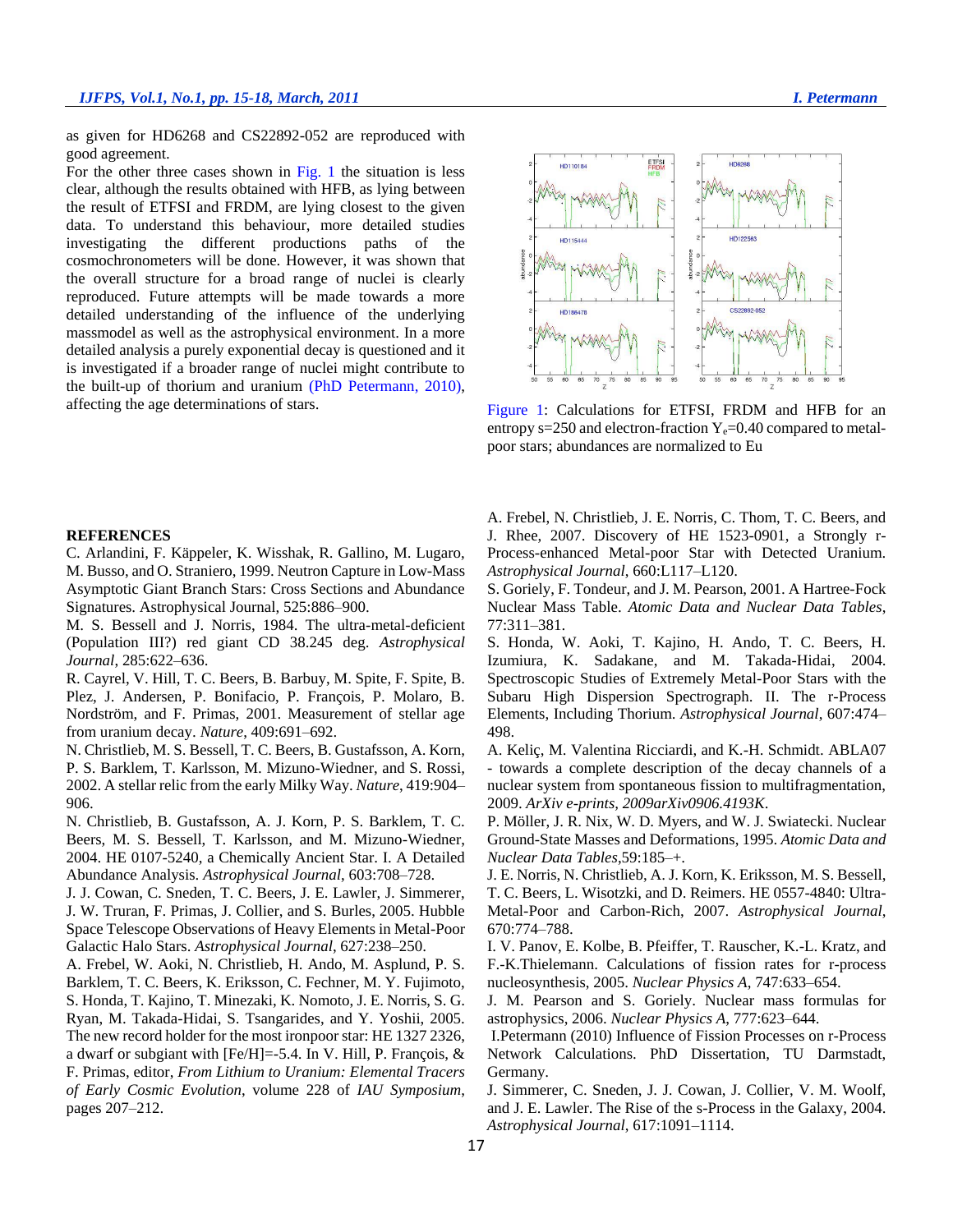as given for HD6268 and CS22892-052 are reproduced with good agreement.

For the other three cases shown in Fig. 1 the situation is less clear, although the results obtained with HFB, as lying between the result of ETFSI and FRDM, are lying closest to the given data. To understand this behaviour, more detailed studies investigating the different productions paths of the cosmochronometers will be done. However, it was shown that the overall structure for a broad range of nuclei is clearly reproduced. Future attempts will be made towards a more detailed understanding of the influence of the underlying massmodel as well as the astrophysical environment. In a more detailed analysis a purely exponential decay is questioned and it is investigated if a broader range of nuclei might contribute to the built-up of thorium and uranium (PhD Petermann, 2010), affecting the age determinations of stars.

### **REFERENCES**

C. Arlandini, F. Käppeler, K. Wisshak, R. Gallino, M. Lugaro, M. Busso, and O. Straniero, 1999. Neutron Capture in Low-Mass Asymptotic Giant Branch Stars: Cross Sections and Abundance Signatures. Astrophysical Journal, 525:886–900.

M. S. Bessell and J. Norris, 1984. The ultra-metal-deficient (Population III?) red giant CD 38.245 deg. *Astrophysical Journal*, 285:622–636.

R. Cayrel, V. Hill, T. C. Beers, B. Barbuy, M. Spite, F. Spite, B. Plez, J. Andersen, P. Bonifacio, P. François, P. Molaro, B. Nordström, and F. Primas, 2001. Measurement of stellar age from uranium decay. *Nature*, 409:691–692.

N. Christlieb, M. S. Bessell, T. C. Beers, B. Gustafsson, A. Korn, P. S. Barklem, T. Karlsson, M. Mizuno-Wiedner, and S. Rossi, 2002. A stellar relic from the early Milky Way. *Nature*, 419:904– 906.

N. Christlieb, B. Gustafsson, A. J. Korn, P. S. Barklem, T. C. Beers, M. S. Bessell, T. Karlsson, and M. Mizuno-Wiedner, 2004. HE 0107-5240, a Chemically Ancient Star. I. A Detailed Abundance Analysis. *Astrophysical Journal*, 603:708–728.

J. J. Cowan, C. Sneden, T. C. Beers, J. E. Lawler, J. Simmerer, J. W. Truran, F. Primas, J. Collier, and S. Burles, 2005. Hubble Space Telescope Observations of Heavy Elements in Metal-Poor Galactic Halo Stars. *Astrophysical Journal*, 627:238–250.

A. Frebel, W. Aoki, N. Christlieb, H. Ando, M. Asplund, P. S. Barklem, T. C. Beers, K. Eriksson, C. Fechner, M. Y. Fujimoto, S. Honda, T. Kajino, T. Minezaki, K. Nomoto, J. E. Norris, S. G. Ryan, M. Takada-Hidai, S. Tsangarides, and Y. Yoshii, 2005. The new record holder for the most ironpoor star: HE 1327 2326, a dwarf or subgiant with [Fe/H]=-5.4. In V. Hill, P. François, & F. Primas, editor, *From Lithium to Uranium: Elemental Tracers of Early Cosmic Evolution*, volume 228 of *IAU Symposium*, pages 207–212.

A. Frebel, N. Christlieb, J. E. Norris, C. Thom, T. C. Beers, and J. Rhee, 2007. Discovery of HE 1523-0901, a Strongly r-Process-enhanced Metal-poor Star with Detected Uranium. *Astrophysical Journal*, 660:L117–L120.

entropy s=250 and electron-fraction  $Y_e$ =0.40 compared to metal-

poor stars; abundances are normalized to Eu

S. Goriely, F. Tondeur, and J. M. Pearson, 2001. A Hartree-Fock Nuclear Mass Table. *Atomic Data and Nuclear Data Tables*, 77:311–381.

S. Honda, W. Aoki, T. Kajino, H. Ando, T. C. Beers, H. Izumiura, K. Sadakane, and M. Takada-Hidai, 2004. Spectroscopic Studies of Extremely Metal-Poor Stars with the Subaru High Dispersion Spectrograph. II. The r-Process Elements, Including Thorium. *Astrophysical Journal*, 607:474– 498.

A. Keliç, M. Valentina Ricciardi, and K.-H. Schmidt. ABLA07 - towards a complete description of the decay channels of a nuclear system from spontaneous fission to multifragmentation, 2009. *ArXiv e-prints, 2009arXiv0906.4193K*.

P. Möller, J. R. Nix, W. D. Myers, and W. J. Swiatecki. Nuclear Ground-State Masses and Deformations, 1995. *Atomic Data and Nuclear Data Tables*,59:185–+.

J. E. Norris, N. Christlieb, A. J. Korn, K. Eriksson, M. S. Bessell, T. C. Beers, L. Wisotzki, and D. Reimers. HE 0557-4840: Ultra-Metal-Poor and Carbon-Rich, 2007. *Astrophysical Journal*, 670:774–788.

I. V. Panov, E. Kolbe, B. Pfeiffer, T. Rauscher, K.-L. Kratz, and F.-K.Thielemann. Calculations of fission rates for r-process nucleosynthesis, 2005. *Nuclear Physics A*, 747:633–654.

J. M. Pearson and S. Goriely. Nuclear mass formulas for astrophysics, 2006. *Nuclear Physics A*, 777:623–644.

I.Petermann (2010) Influence of Fission Processes on r-Process Network Calculations. PhD Dissertation, TU Darmstadt, Germany.

J. Simmerer, C. Sneden, J. J. Cowan, J. Collier, V. M. Woolf, and J. E. Lawler. The Rise of the s-Process in the Galaxy, 2004. *Astrophysical Journal*, 617:1091–1114.